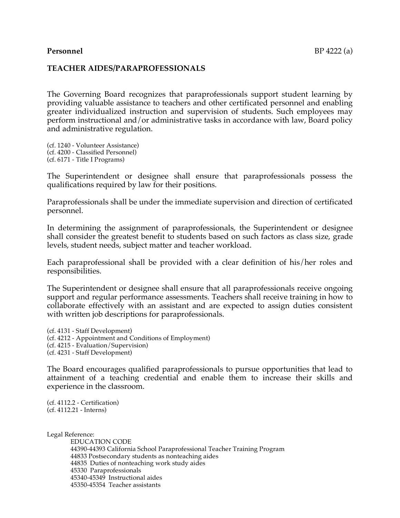### **TEACHER AIDES/PARAPROFESSIONALS**

The Governing Board recognizes that paraprofessionals support student learning by providing valuable assistance to teachers and other certificated personnel and enabling greater individualized instruction and supervision of students. Such employees may perform instructional and/or administrative tasks in accordance with law, Board policy and administrative regulation.

(cf. 1240 - Volunteer Assistance) (cf. 4200 - Classified Personnel) (cf. 6171 - Title I Programs)

The Superintendent or designee shall ensure that paraprofessionals possess the qualifications required by law for their positions.

Paraprofessionals shall be under the immediate supervision and direction of certificated personnel.

In determining the assignment of paraprofessionals, the Superintendent or designee shall consider the greatest benefit to students based on such factors as class size, grade levels, student needs, subject matter and teacher workload.

Each paraprofessional shall be provided with a clear definition of his/her roles and responsibilities.

The Superintendent or designee shall ensure that all paraprofessionals receive ongoing support and regular performance assessments. Teachers shall receive training in how to collaborate effectively with an assistant and are expected to assign duties consistent with written job descriptions for paraprofessionals.

(cf. 4131 - Staff Development) (cf. 4212 - Appointment and Conditions of Employment) (cf. 4215 - Evaluation/Supervision) (cf. 4231 - Staff Development)

The Board encourages qualified paraprofessionals to pursue opportunities that lead to attainment of a teaching credential and enable them to increase their skills and experience in the classroom.

(cf. 4112.2 - Certification) (cf. 4112.21 - Interns)

Legal Reference:

EDUCATION CODE 44390-44393 California School Paraprofessional Teacher Training Program 44833 Postsecondary students as nonteaching aides 44835 Duties of nonteaching work study aides 45330 Paraprofessionals 45340-45349 Instructional aides 45350-45354 Teacher assistants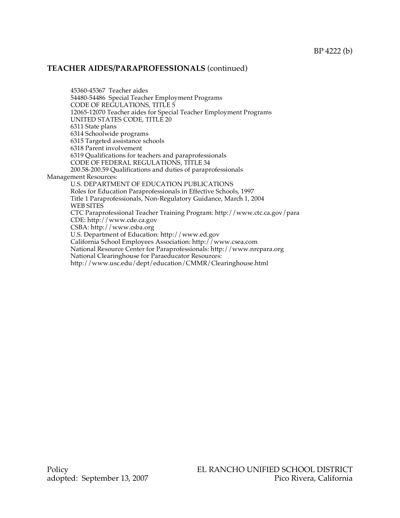### **TEACHER AIDES/PARAPROFESSIONALS** (continued)

45360-45367 Teacher aides 54480-54486 Special Teacher Employment Programs CODE OF REGULATIONS, TITLE 5 12065-12070 Teacher aides for Special Teacher Employment Programs UNITED STATES CODE, TITLE 20 6311 State plans 6314 Schoolwide programs 6315 Targeted assistance schools 6318 Parent involvement 6319 Qualifications for teachers and paraprofessionals CODE OF FEDERAL REGULATIONS, TITLE 34 200.58-200.59 Qualifications and duties of paraprofessionals Management Resources: U.S. DEPARTMENT OF EDUCATION PUBLICATIONS Roles for Education Paraprofessionals in Effective Schools, 1997 Title 1 Paraprofessionals, Non-Regulatory Guidance, March 1, 2004 WEB SITES CTC Paraprofessional Teacher Training Program: http://www.ctc.ca.gov/para CDE: http://www.cde.ca.gov CSBA: http://www.csba.org U.S. Department of Education: http://www.ed.gov California School Employees Association: http://www.csea.com National Resource Center for Paraprofessionals: http://www.nrcpara.org National Clearinghouse for Paraeducator Resources: http://www.usc.edu/dept/education/CMMR/Clearinghouse.html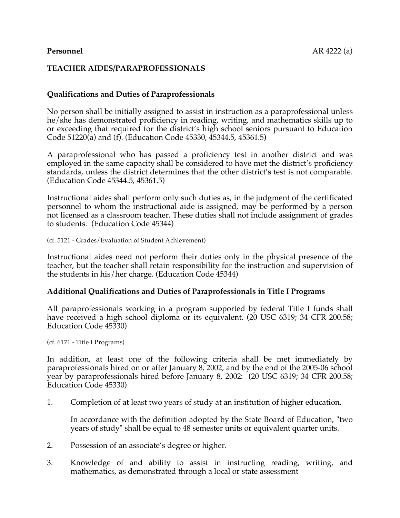## **TEACHER AIDES/PARAPROFESSIONALS**

## **Qualifications and Duties of Paraprofessionals**

No person shall be initially assigned to assist in instruction as a paraprofessional unless he/she has demonstrated proficiency in reading, writing, and mathematics skills up to or exceeding that required for the district's high school seniors pursuant to Education Code 51220(a) and (f). (Education Code 45330, 45344.5, 45361.5)

A paraprofessional who has passed a proficiency test in another district and was employed in the same capacity shall be considered to have met the district's proficiency standards, unless the district determines that the other district's test is not comparable. (Education Code 45344.5, 45361.5)

Instructional aides shall perform only such duties as, in the judgment of the certificated personnel to whom the instructional aide is assigned, may be performed by a person not licensed as a classroom teacher. These duties shall not include assignment of grades to students. (Education Code 45344)

(cf. 5121 - Grades/Evaluation of Student Achievement)

Instructional aides need not perform their duties only in the physical presence of the teacher, but the teacher shall retain responsibility for the instruction and supervision of the students in his/her charge. (Education Code 45344)

#### **Additional Qualifications and Duties of Paraprofessionals in Title I Programs**

All paraprofessionals working in a program supported by federal Title I funds shall have received a high school diploma or its equivalent. (20 USC 6319; 34 CFR 200.58; Education Code 45330)

(cf. 6171 - Title I Programs)

In addition, at least one of the following criteria shall be met immediately by paraprofessionals hired on or after January 8, 2002, and by the end of the 2005-06 school year by paraprofessionals hired before January 8, 2002: (20 USC 6319; 34 CFR 200.58; Education Code 45330)

1. Completion of at least two years of study at an institution of higher education.

In accordance with the definition adopted by the State Board of Education, "two years of study" shall be equal to 48 semester units or equivalent quarter units.

- 2. Possession of an associate's degree or higher.
- 3. Knowledge of and ability to assist in instructing reading, writing, and mathematics, as demonstrated through a local or state assessment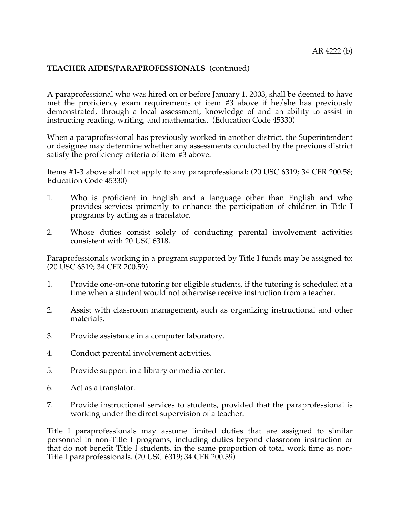# **TEACHER AIDES/PARAPROFESSIONALS** (continued)

A paraprofessional who was hired on or before January 1, 2003, shall be deemed to have met the proficiency exam requirements of item #3 above if he/she has previously demonstrated, through a local assessment, knowledge of and an ability to assist in instructing reading, writing, and mathematics. (Education Code 45330)

When a paraprofessional has previously worked in another district, the Superintendent or designee may determine whether any assessments conducted by the previous district satisfy the proficiency criteria of item #3 above.

Items #1-3 above shall not apply to any paraprofessional: (20 USC 6319; 34 CFR 200.58; Education Code 45330)

- 1. Who is proficient in English and a language other than English and who provides services primarily to enhance the participation of children in Title I programs by acting as a translator.
- 2. Whose duties consist solely of conducting parental involvement activities consistent with 20 USC 6318.

Paraprofessionals working in a program supported by Title I funds may be assigned to: (20 USC 6319; 34 CFR 200.59)

- 1. Provide one-on-one tutoring for eligible students, if the tutoring is scheduled at a time when a student would not otherwise receive instruction from a teacher.
- 2. Assist with classroom management, such as organizing instructional and other materials.
- 3. Provide assistance in a computer laboratory.
- 4. Conduct parental involvement activities.
- 5. Provide support in a library or media center.
- 6. Act as a translator.
- 7. Provide instructional services to students, provided that the paraprofessional is working under the direct supervision of a teacher.

Title I paraprofessionals may assume limited duties that are assigned to similar personnel in non-Title I programs, including duties beyond classroom instruction or that do not benefit Title I students, in the same proportion of total work time as non-Title I paraprofessionals. (20 USC 6319; 34 CFR 200.59)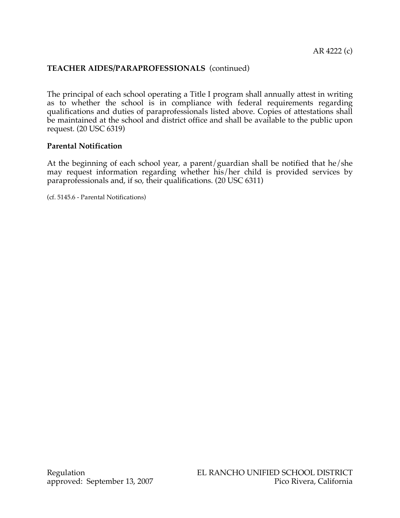# **TEACHER AIDES/PARAPROFESSIONALS** (continued)

The principal of each school operating a Title I program shall annually attest in writing as to whether the school is in compliance with federal requirements regarding qualifications and duties of paraprofessionals listed above. Copies of attestations shall be maintained at the school and district office and shall be available to the public upon request. (20 USC 6319)

#### **Parental Notification**

At the beginning of each school year, a parent/guardian shall be notified that he/she may request information regarding whether his/her child is provided services by paraprofessionals and, if so, their qualifications. (20 USC 6311)

(cf. 5145.6 - Parental Notifications)